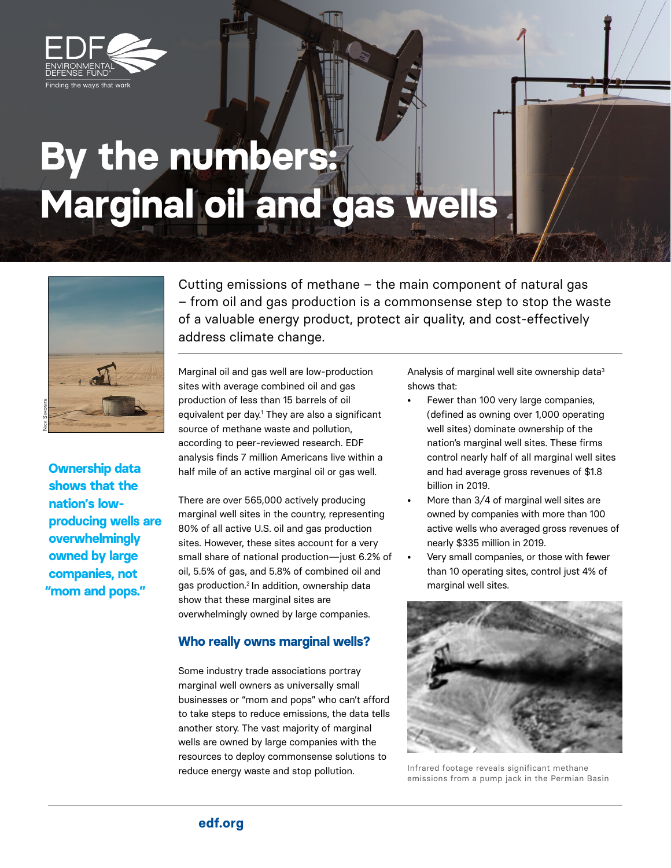

## **By the numbers: Marginal oil and gas wells**



**Ownership data shows that the nation's lowproducing wells are overwhelmingly owned by large companies, not "mom and pops."** 

Cutting emissions of methane – the main component of natural gas – from oil and gas production is a commonsense step to stop the waste of a valuable energy product, protect air quality, and cost-effectively address climate change.

Marginal oil and gas well are low-production sites with average combined oil and gas production of less than 15 barrels of oil equivalent per day.1 They are also a significant source of methane waste and pollution, according to peer-reviewed research. EDF analysis finds 7 million Americans live within a half mile of an active marginal oil or gas well.

There are over 565,000 actively producing marginal well sites in the country, representing 80% of all active U.S. oil and gas production sites. However, these sites account for a very small share of national production—just 6.2% of oil, 5.5% of gas, and 5.8% of combined oil and gas production.2 In addition, ownership data show that these marginal sites are overwhelmingly owned by large companies.

## **Who really owns marginal wells?**

Some industry trade associations portray marginal well owners as universally small businesses or "mom and pops" who can't afford to take steps to reduce emissions, the data tells another story. The vast majority of marginal wells are owned by large companies with the resources to deploy commonsense solutions to reduce energy waste and stop pollution.

Analysis of marginal well site ownership data<sup>3</sup> shows that:

- Fewer than 100 very large companies, (defined as owning over 1,000 operating well sites) dominate ownership of the nation's marginal well sites. These firms control nearly half of all marginal well sites and had average gross revenues of \$1.8 billion in 2019.
- More than 3/4 of marginal well sites are owned by companies with more than 100 active wells who averaged gross revenues of nearly \$335 million in 2019.
- Very small companies, or those with fewer than 10 operating sites, control just 4% of marginal well sites.



Infrared footage reveals significant methane emissions from a pump jack in the Permian Basin